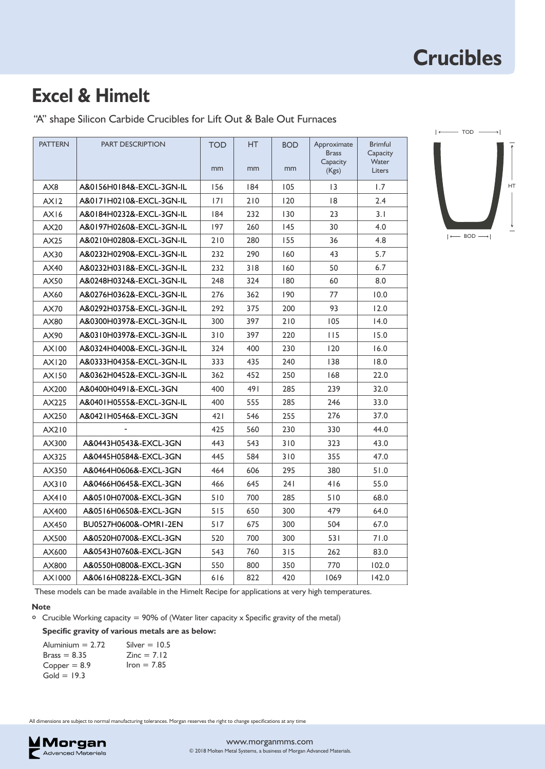### **Excel & Himelt**

"A" shape Silicon Carbide Crucibles for Lift Out & Bale Out Furnaces

| <b>PATTERN</b> | <b>PART DESCRIPTION</b>  | <b>TOD</b><br>mm | <b>HT</b><br>mm | <b>BOD</b><br>mm | Approximate<br><b>Brass</b><br>Capacity<br>(Kgs) | <b>Brimful</b><br>Capacity<br>Water<br><b>Liters</b> |
|----------------|--------------------------|------------------|-----------------|------------------|--------------------------------------------------|------------------------------------------------------|
| AX8            | A&0156H0184&-EXCL-3GN-IL | 156              | 184             | 105              | $\overline{13}$                                  | 1.7                                                  |
| AX12           | A&0171H0210&-EXCL-3GN-IL | 7                |                 |                  |                                                  | 2.4                                                  |
| AX16           | A&0184H0232&-EXCL-3GN-IL | 184              | 210<br>232      | 120<br>130       | 18<br>23                                         | 3.1                                                  |
| AX20           | A&0197H0260&-EXCL-3GN-IL | 197              | 260             | 145              | 30                                               | 4.0                                                  |
| AX25           | A&0210H0280&-EXCL-3GN-IL | 210              | 280             | 155              | 36                                               | 4.8                                                  |
| AX30           | A&0232H0290&-EXCL-3GN-IL | 232              | 290             | 160              | 43                                               | 5.7                                                  |
| AX40           | A&0232H0318&-EXCL-3GN-IL | 232              | 318             | 160              | 50                                               | 6.7                                                  |
| AX50           | A&0248H0324&-EXCL-3GN-IL | 248              | 324             | 180              | 60                                               | 8.0                                                  |
| AX60           | A&0276H0362&-EXCL-3GN-IL | 276              | 362             | 190              | 77                                               | 10.0                                                 |
| AX70           | A&0292H0375&-EXCL-3GN-IL | 292              | 375             | 200              | 93                                               | 12.0                                                 |
| AX80           | A&0300H0397&-EXCL-3GN-IL | 300              | 397             | 210              | 105                                              | 14.0                                                 |
| AX90           | A&0310H0397&-EXCL-3GN-IL | 310              | 397             | 220              | 115                                              | 15.0                                                 |
| AX100          | A&0324H0400&-EXCL-3GN-IL | 324              | 400             | 230              | 120                                              | 16.0                                                 |
| AX120          | A&0333H0435&-EXCL-3GN-IL | 333              | 435             | 240              | 138                                              | 18.0                                                 |
| AX150          | A&0362H0452&-EXCL-3GN-IL | 362              | 452             | 250              | 168                                              | 22.0                                                 |
| AX200          | A&0400H0491&-EXCL-3GN    | 400              | 491             | 285              | 239                                              | 32.0                                                 |
| AX225          | A&0401H0555&-EXCL-3GN-IL | 400              | 555             | 285              | 246                                              | 33.0                                                 |
| AX250          | A&0421H0546&-EXCL-3GN    | 421              | 546             | 255              | 276                                              | 37.0                                                 |
| AX210          |                          | 425              | 560             | 230              | 330                                              | 44.0                                                 |
| AX300          | A&0443H0543&-EXCL-3GN    | 443              | 543             | 310              | 323                                              | 43.0                                                 |
| AX325          | A&0445H0584&-EXCL-3GN    | 445              | 584             | 310              | 355                                              | 47.0                                                 |
| AX350          | A&0464H0606&-EXCL-3GN    | 464              | 606             | 295              | 380                                              | 51.0                                                 |
| AX310          | A&0466H0645&-EXCL-3GN    | 466              | 645             | 241              | 416                                              | 55.0                                                 |
| AX410          | A&0510H0700&-EXCL-3GN    | 510              | 700             | 285              | 510                                              | 68.0                                                 |
| AX400          | A&0516H0650&-EXCL-3GN    | 515              | 650             | 300              | 479                                              | 64.0                                                 |
| AX450          | BU0527H0600&-OMRI-2EN    | 517              | 675             | 300              | 504                                              | 67.0                                                 |
| AX500          | A&0520H0700&-EXCL-3GN    | 520              | 700             | 300              | 531                                              | 71.0                                                 |
| AX600          | A&0543H0760&-EXCL-3GN    | 543              | 760             | 315              | 262                                              | 83.0                                                 |
| AX800          | A&0550H0800&-EXCL-3GN    | 550              | 800             | 350              | 770                                              | 102.0                                                |
| AX1000         | A&0616H0822&-EXCL-3GN    | 616              | 822             | 420              | 1069                                             | 142.0                                                |
|                |                          |                  |                 |                  |                                                  |                                                      |



These models can be made available in the Himelt Recipe for applications at very high temperatures.

#### **Note**

Crucible Working capacity = 90% of (Water liter capacity x Specific gravity of the metal) **°**

#### **Specific gravity of various metals are as below:**

| Aluminium $= 2.72$ | Silver $=$ 10.5 |
|--------------------|-----------------|
| $Brass = 8.35$     | $Zinc = 7.12$   |
| $Copper = 8.9$     | $lron = 7.85$   |
| $Gold = 19.3$      |                 |

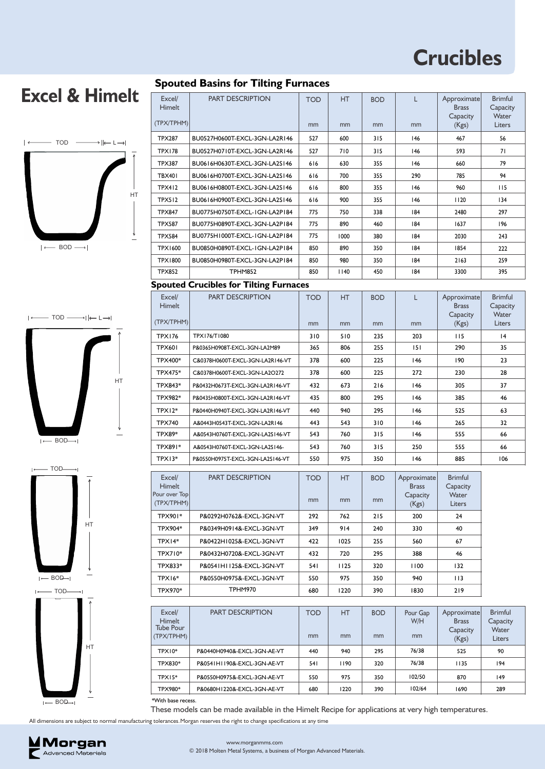# **Excel & Himelt**



# $\longleftarrow$  TOD  $\longrightarrow$   $\longleftarrow$  L $\rightarrow$ HT  $I \leftarrow BOD$  $\rightarrow$



**Spouted Basins for Tilting Furnaces**

| Excel/<br>Himelt                  | <b>PART DESCRIPTION</b>                       | <b>TOD</b> | HT.  | <b>BOD</b> | L                                       | Approximate<br><b>Brass</b>             | <b>Brimful</b><br>Capacity          |
|-----------------------------------|-----------------------------------------------|------------|------|------------|-----------------------------------------|-----------------------------------------|-------------------------------------|
| (TPX/TPHM)                        |                                               | mm         | mm   | mm         | mm                                      | Capacity<br>(Kgs)                       | Water<br>Liters                     |
| <b>TPX287</b>                     | BU0527H0600T-EXCL-3GN-LA2R146                 | 527        | 600  | 315        | 146                                     | 467                                     | 56                                  |
| <b>TPX178</b>                     | BU0527H0710T-EXCL-3GN-LA2R146                 | 527        | 710  | 315        | 146                                     | 593                                     | 71                                  |
| <b>TPX387</b>                     | BU0616H0630T-EXCL-3GN-LA2S146                 | 616        | 630  | 355        | 146                                     | 660                                     | 79                                  |
| <b>TBX401</b>                     | BU0616H0700T-EXCL-3GN-LA2S146                 | 616        | 700  | 355        | 290                                     | 785                                     | 94                                  |
| <b>TPX412</b>                     | BU0616H0800T-EXCL-3GN-LA2S146                 | 616        | 800  | 355        | 146                                     | 960                                     | 115                                 |
| <b>TPX512</b>                     | BU0616H0900T-EXCL-3GN-LA2S146                 | 616        | 900  | 355        | 146                                     | 1120                                    | 134                                 |
| <b>TPX847</b>                     | BU0775H0750T-EXCL-IGN-LA2P184                 | 775        | 750  | 338        | 184                                     | 2480                                    | 297                                 |
| <b>TPX587</b>                     | BU0775H0890T-EXCL-3GN-LA2P184                 | 775        | 890  | 460        | 184                                     | 1637                                    | 196                                 |
| <b>TPX584</b>                     | BU0775H1000T-EXCL-1GN-LA2P184                 | 775        | 1000 | 380        | 184                                     | 2030                                    | 243                                 |
| <b>TPX1600</b>                    | BU0850H0890T-EXCL-IGN-LA2P184                 | 850        | 890  | 350        | 184                                     | 1854                                    | 222                                 |
| <b>TPX1800</b>                    | BU0850H0980T-EXCL-3GN-LA2P184                 | 850        | 980  | 350        | 184                                     | 2163                                    | 259                                 |
| <b>TPX852</b>                     | <b>TPHM852</b>                                | 850        | 1140 | 450        | 184                                     | 3300                                    | 395                                 |
|                                   | <b>Spouted Crucibles for Tilting Furnaces</b> |            |      |            |                                         |                                         |                                     |
| Excel/<br><b>Himelt</b>           | <b>PART DESCRIPTION</b>                       | <b>TOD</b> | HT   | <b>BOD</b> | L                                       | Approximate<br><b>Brass</b><br>Capacity | <b>Brimful</b><br>Capacity<br>Water |
| (TPX/TPHM)                        |                                               | mm         | mm   | mm         | mm                                      | (Kgs)                                   | Liters                              |
| <b>TPX176</b>                     | TPX176/T1080                                  | 310        | 510  | 235        | 203                                     | 115                                     | 4                                   |
| <b>TPX601</b>                     | P&0365H0908T-EXCL-3GN-LA2M89                  | 365        | 806  | 255        | 151                                     | 290                                     | 35                                  |
| TPX400*                           | C&0378H0600T-EXCL-3GN-LA2R146-VT              | 378        | 600  | 225        | 146                                     | 190                                     | 23                                  |
| TPX475*                           | C&0378H0600T-EXCL-3GN-LA2O272                 | 378        | 600  | 225        | 272                                     | 230                                     | 28                                  |
| TPX843*                           | P&0432H0673T-EXCL-3GN-LA2R146-VT              | 432        | 673  | 216        | 146                                     | 305                                     | 37                                  |
| TPX982*                           | P&0435H0800T-EXCL-3GN-LA2R146-VT              | 435        | 800  | 295        | 146                                     | 385                                     | 46                                  |
| TPX12*                            | P&0440H0940T-EXCL-3GN-LA2R146-VT              | 440        | 940  | 295        | 146                                     | 525                                     | 63                                  |
| <b>TPX740</b>                     | A&0443H0543T-EXCL-3GN-LA2R146                 | 443        | 543  | 310        | 146                                     | 265                                     | 32                                  |
| <b>TPX89*</b>                     | A&0543H0760T-EXCL-3GN-LA2S146-VT              | 543        | 760  | 315        | 146                                     | 555                                     | 66                                  |
| TPX891*                           | A&0543H0760T-EXCL-3GN-LA2S146-                | 543        | 760  | 315        | 250                                     | 555                                     | 66                                  |
| $TPX13*$                          | P&0550H0975T-EXCL-3GN-LA2S146-VT              | 550        | 975  | 350        | 146                                     | 885                                     | 106                                 |
| Excel/<br>Himelt<br>Pour over Top | <b>PART DESCRIPTION</b>                       | <b>TOD</b> | HT.  | <b>BOD</b> | Approximate<br><b>Brass</b><br>Capacity | <b>Brimful</b><br>Capacity<br>Water     |                                     |
| (TPX/TPHM)                        |                                               | mm         | mm   | mm         | (Kgs)                                   | Liters                                  |                                     |
| TPX901*                           | P&0292H0762&-EXCL-3GN-VT                      | 292        | 762  | 215        | 200                                     | 24                                      |                                     |
| TPX904*                           | P&0349H0914&-EXCL-3GN-VT                      | 349        | 914  | 240        | 330                                     | 40                                      |                                     |
| TPX14*                            | P&0422H1025&-EXCL-3GN-VT                      | 422        | 1025 | 255        | 560                                     | 67                                      |                                     |
| TPX710*                           | P&0432H0720&-EXCL-3GN-VT                      | 432        | 720  | 295        | 388                                     | 46                                      |                                     |
| TPX833*                           | P&0541H1125&-EXCL-3GN-VT                      | 541        | 1125 | 320        | 1100                                    | 132                                     |                                     |
| TPX16*                            | P&0550H0975&-EXCL-3GN-VT                      | 550        | 975  | 350        | 940                                     | 113                                     |                                     |
| TPX970*                           | TPHM970                                       | 680        | 1220 | 390        | 1830                                    | 219                                     |                                     |
| Excel/                            | PART DESCRIPTION                              | <b>TOD</b> |      |            | Pour Gap                                | Approximate                             | <b>Brimful</b>                      |
|                                   |                                               |            | HT.  | <b>BOD</b> |                                         |                                         |                                     |

| Excel/<br><b>Himelt</b> | <b>PART DESCRIPTION</b>     | TOD | HT   | <b>BOD</b> | Pour Gap<br>W/H | Approximate<br><b>Brass</b> | <b>Brimful</b><br>Capacity |
|-------------------------|-----------------------------|-----|------|------------|-----------------|-----------------------------|----------------------------|
| Tube Pour<br>(TPX/TPHM) |                             | mm  | mm   | mm         | mm              | Capacity<br>(Kgs)           | Water<br>Liters            |
| TPX10*                  | P&0440H0940&-EXCL-3GN-AE-VT | 440 | 940  | 295        | 76/38           | 525                         | 90                         |
| TPX830*                 | P&0541H1190&-EXCL-3GN-AE-VT | 541 | 1190 | 320        | 76/38           | 1135                        | 194                        |
| $TPX15*$                | P&0550H0975&-EXCL-3GN-AE-VT | 550 | 975  | 350        | 102/50          | 870                         | 149                        |
| TPX980*                 | P&0680H1220&-EXCL-3GN-AE-VT | 680 | 1220 | 390        | 102/64          | 1690                        | 289                        |
| *With base recess.      |                             |     |      |            |                 |                             |                            |

 $I \leftarrow BOD \rightarrow I$ 

These models can be made available in the Himelt Recipe for applications at very high temperatures.

All dimensions are subject to normal manufacturing tolerances.Morgan reserves the right to change specifications at any time



#### © 2018 Molten Metal Systems, a business of Morgan Advanced Materials. www.morganmms.com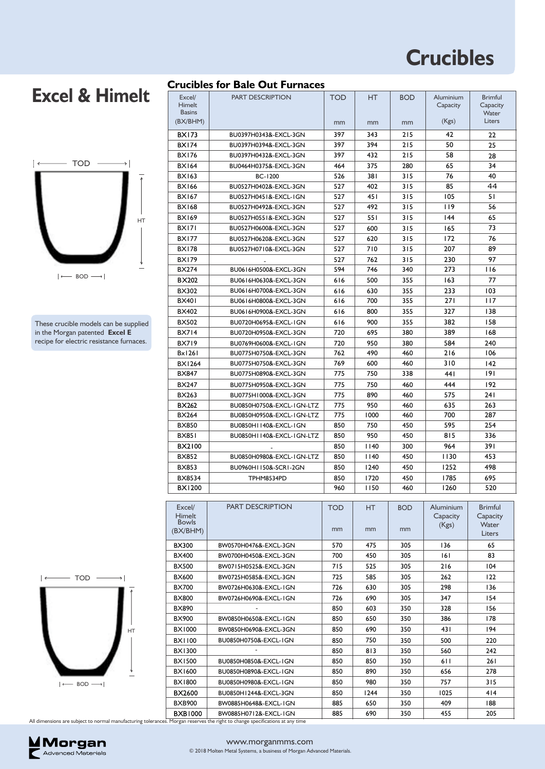Aluminium **Capacity** 

Brimful Capacity  $M_{\text{max}}$ 

HT

BOD

TOD

### **Excel & Himelt**



These crucible models can be supplied in the Morgan patented **Excel E** recipe for electric resistance furnaces.

| Himelt<br><b>Basins</b> |                                                                     |            |      |            | Capacity   | Capacity<br>Water |
|-------------------------|---------------------------------------------------------------------|------------|------|------------|------------|-------------------|
| (BX/BHM)                |                                                                     | mm         | mm   | mm         | (Kgs)      | Liters            |
|                         |                                                                     |            |      |            |            |                   |
| <b>BX173</b>            | BU0397H0343&-EXCL-3GN                                               | 397        | 343  | 215        | 42         | 22                |
| <b>BX174</b>            | BU0397H0394&-EXCL-3GN                                               | 397        | 394  | 215        | 50         | 25                |
| <b>BX176</b>            | BU0397H0432&-EXCL-3GN                                               | 397        | 432  | 215        | 58         | 28                |
| <b>BX164</b>            | BU0464H0375&-EXCL-3GN                                               | 464        | 375  | 280        | 65         | 34                |
| <b>BX163</b>            | <b>BC-1200</b>                                                      | 526        | 381  | 315        | 76         | 40                |
| <b>BX166</b>            | BU0527H0402&-EXCL-3GN                                               | 527        | 402  | 315        | 85         | 44                |
| <b>BX167</b>            | BU0527H0451&-EXCL-1GN                                               | 527        | 45 I | 315        | 105        | 51                |
| <b>BX168</b>            | BU0527H0492&-EXCL-3GN                                               | 527        | 492  | 315        | 119        | 56                |
| <b>BX169</b>            | BU0527H0551&-EXCL-3GN                                               | 527        | 551  | 315        | 144        | 65                |
| <b>BX171</b>            | BU0527H0600&-EXCL-3GN                                               | 527        | 600  | 315        | 165        | 73                |
| <b>BX177</b>            | BU0527H0620&-EXCL-3GN                                               | 527        | 620  | 315        | 172        | 76                |
| <b>BX178</b>            | BU0527H0710&-EXCL-3GN                                               | 527        | 710  | 315        | 207        | 89                |
| <b>BX179</b>            |                                                                     | 527        | 762  | 315        | 230        | 97                |
| <b>BX274</b>            | BU0616H0500&-EXCL-3GN                                               | 594        | 746  | 340        | 273        | <b>116</b>        |
| BX202                   | BU0616H0630&-EXCL-3GN                                               | 616        | 500  | 355        | 163        | 77                |
| BX302                   | BU0616H0700&-EXCL-3GN                                               | 616        | 630  | 355        | 233        | 103               |
| <b>BX401</b>            | BU0616H0800&-EXCL-3GN                                               | 616        | 700  | 355        | <b>271</b> | 117               |
| <b>BX402</b>            | BU0616H0900&-EXCL-3GN                                               | 616        | 800  | 355        | 327        | 138               |
| <b>BX502</b>            | BU0720H0695&-EXCL-1GN                                               | 616        | 900  | 355        | 382        | 158               |
| <b>BX714</b>            | BU0720H0950&-EXCL-3GN                                               | 720        | 695  | 380        | 389        | 168               |
| <b>BX719</b>            | BU0769H0600&-EXCL-1GN                                               | 720        | 950  | 380        | 584        | 240               |
| Bx1261                  | BU0775H0750&-EXCL-3GN                                               | 762        | 490  | 460        | 216        | 106               |
| <b>BX1264</b>           | BU0775H0750&-EXCL-3GN                                               | 769        | 600  | 460        | 310        | 142               |
| <b>BX847</b>            | BU0775H0890&-EXCL-3GN                                               | 775        | 750  | 338        | 441        | 191               |
| <b>BX247</b>            | BU0775H0950&-EXCL-3GN                                               | 775        | 750  | 460        | 444        | 192               |
| BX263                   | BU0775H1000&-EXCL-3GN                                               | 775        | 890  | 460        | 575        | 241               |
| BX262                   | BU0850H0750&-EXCL-1GN-LTZ                                           | 775        | 950  | 460        | 635        | 263               |
| <b>BX264</b>            | BU0850H0950&-EXCL-1GN-LTZ                                           | 775        | 1000 | 460        | 700        | 287               |
| <b>BX850</b>            | BU0850H1140&-EXCL-1GN                                               | 850        | 750  | 450        | 595        | 254               |
| <b>BX851</b>            | BU0850H1140&-EXCL-1GN-LTZ                                           | 850        | 950  | 450        | 815        | 336               |
| BX2100                  |                                                                     | 850        | 1140 | 300        | 964        | 391               |
| <b>BX852</b>            | BU0850H0980&-EXCL-1GN-LTZ                                           | 850        | 1140 | 450        | 1130       | 453               |
| <b>BX853</b>            | BU0960H1150&-SCRI-2GN                                               | 850        | 1240 | 450        | 1252       | 498               |
| BX8534                  | TPHM8534PD                                                          | 850        | 1720 | 450        | 1785       | 695               |
| BX1200                  |                                                                     | 960        | 1150 | 460        | 1260       | 520               |
|                         |                                                                     |            |      |            |            |                   |
| Excel/                  | <b>PART DESCRIPTION</b>                                             | <b>TOD</b> | HT.  | <b>BOD</b> | Aluminium  | Brimful           |
| Himelt<br><b>Bowls</b>  |                                                                     |            |      |            | Capacity   | Capacity          |
| (BX/BHM)                |                                                                     | mm         | mm   | mm         | (Kgs)      | Water             |
|                         |                                                                     |            |      |            |            | Liters            |
| BX300                   | BW0570H0476&-EXCL-3GN                                               | 570        | 475  | 305        | 136        | 65                |
| <b>BX400</b>            | BW0700H0450&-EXCL-3GN                                               | 700        | 450  | 305        | 161        | 83                |
| <b>BX500</b>            | BW0715H0525&-EXCL-3GN                                               | 715        | 525  | 305        | 216        | 104               |
| BX600                   | BW0725H0585&-EXCL-3GN                                               | 725        | 585  | 305        | 262        | 122               |
| <b>BX700</b>            | BW0726H0630&-EXCL-1GN                                               | 726        | 630  | 305        | 298        | 136               |
| <b>BX800</b>            | BW0726H0690&-EXCL-1GN                                               | 726        | 690  | 305        | 347        | 154               |
| <b>BX890</b>            |                                                                     | 850        | 603  | 350        | 328        | 156               |
| <b>BX900</b>            | BW0850H0650&-EXCL-IGN                                               | 850        | 650  | 350        | 386        | 178               |
| <b>BX1000</b>           | BW0850H0690&-EXCL-3GN                                               | 850        | 690  | 350        | 43 I       | 194               |
| <b>BX1100</b>           | BU0850H0750&-EXCL-1GN                                               | 850        | 750  | 350        | 500        | 220               |
| <b>BX1300</b>           |                                                                     | 850        | 813  | 350        | 560        | 242               |
| <b>BX1500</b>           | BU0850H0850&-EXCL-1GN                                               | 850        | 850  | 350        | 6 I I      | 261               |
| BX1600                  | BU0850H0890&-EXCL-1GN                                               | 850        | 890  | 350        | 656        | 278               |
| <b>BX1800</b>           | BU0850H0980&-EXCL-1GN                                               | 850        | 980  | 350        | 757        | 315               |
| BX2600                  | BU0850H1244&-EXCL-3GN                                               | 850        | 1244 | 350        | 1025       | 414               |
| <b>BXB900</b>           | BW0885H0648&-EXCL-1GN                                               | 885        | 650  | 350        | 409        | 188               |
| BXB1000                 | BW0885H0712&-EXCL-1GN                                               | 885        | 690  | 350        | 455        | 205               |
|                         | ces. Morgan reserves the right to change specifications at any time |            |      |            |            |                   |



All dimensions are subject to normal manufacturing tolerane



**Crucibles for Bale Out Furnaces**

PART DESCRIPTION

Excel/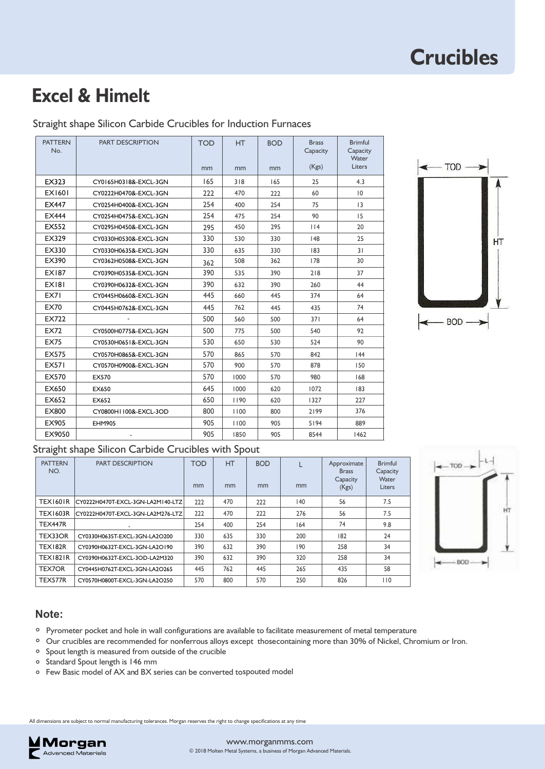## **Excel & Himelt**

| <b>PATTERN</b><br>No. | <b>PART DESCRIPTION</b> | <b>TOD</b><br>mm | <b>HT</b><br>mm | <b>BOD</b><br>mm | <b>Brass</b><br>Capacity<br>(Kgs) | <b>Brimful</b><br>Capacity<br>Water<br>Liters |
|-----------------------|-------------------------|------------------|-----------------|------------------|-----------------------------------|-----------------------------------------------|
| EX323                 | CY0165H0318&-EXCL-3GN   | 165              | 318             | 165              | 25                                | 4.3                                           |
| <b>EX1601</b>         | CY0222H0470&-EXCL-3GN   | 222              | 470             | 222              | 60                                | $ 0\rangle$                                   |
| <b>EX447</b>          | CY0254H0400&-EXCL-3GN   | 254              | 400             | 254              | 75                                | 3                                             |
| <b>EX444</b>          | CY0254H0475&-EXCL-3GN   | 254              | 475             | 254              | 90                                | 15                                            |
| <b>EX552</b>          | CY0295H0450&-EXCL-3GN   | 295              | 450             | 295              | $ $  4                            | 20                                            |
| EX329                 | CY0330H0530&-EXCL-3GN   | 330              | 530             | 330              | 48                                | 25                                            |
| EX330                 | CY0330H0635&-EXCL-3GN   | 330              | 635             | 330              | 83                                | 31                                            |
| EX390                 | CY0362H0508&-EXCL-3GN   | 362              | 508             | 362              | 178                               | 30                                            |
| <b>EX187</b>          | CY0390H0535&-EXCL-3GN   | 390              | 535             | 390              | 218                               | 37                                            |
| <b>EX181</b>          | CY0390H0632&-EXCL-3GN   | 390              | 632             | 390              | 260                               | 44                                            |
| EX71                  | CY0445H0660&-EXCL-3GN   | 445              | 660             | 445              | 374                               | 64                                            |
| <b>EX70</b>           | CY0445H0762&-EXCL-3GN   | 445              | 762             | 445              | 435                               | 74                                            |
| EX722                 |                         | 500              | 560             | 500              | 371                               | 64                                            |
| EX72                  | CY0500H0775&-EXCL-3GN   | 500              | 775             | 500              | 540                               | 92                                            |
| <b>EX75</b>           | CY0530H0651&-EXCL-3GN   | 530              | 650             | 530              | 524                               | 90                                            |
| EX575                 | CY0570H0865&-EXCL-3GN   | 570              | 865             | 570              | 842                               | 44                                            |
| <b>EX571</b>          | CY0570H0900&-EXCL-3GN   | 570              | 900             | 570              | 878                               | 150                                           |
| EX570                 | EX570                   | 570              | 1000            | 570              | 980                               | 168                                           |
| EX650                 | EX650                   | 645              | 1000            | 620              | 1072                              | 183                                           |
| EX652                 | EX652                   | 650              | 1190            | 620              | 1327                              | 227                                           |
| EX800                 | CY0800H1100&-EXCL-3OD   | 800              | 1100            | 800              | 2199                              | 376                                           |
| EX905                 | <b>EHM905</b>           | 905              | 1100            | 905              | 5194                              | 889                                           |
| EX9050                |                         | 905              | 1850            | 905              | 8544                              | 1462                                          |





#### Straight shape Silicon Carbide Crucibles with Spout

| <b>PATTERN</b><br>NO. | <b>PART DESCRIPTION</b>           | <b>TOD</b><br>mm | <b>HT</b><br>mm | <b>BOD</b><br>mm | mm           | Approximate<br><b>Brass</b><br>Capacity<br>(Kgs) | <b>Brimful</b><br>Capacity<br>Water<br>Liters |
|-----------------------|-----------------------------------|------------------|-----------------|------------------|--------------|--------------------------------------------------|-----------------------------------------------|
| <b>TEX1601R</b>       | CY0222H0470T-EXCL-3GN-LA2M140-LTZ | 222              | 470             | 222              | $ 40\rangle$ | 56                                               | 7.5                                           |
| <b>TEX1603R</b>       | CY0222H0470T-EXCL-3GN-LA2M276-LTZ | 222              | 470             | 222              | 276          | 56                                               | 7.5                                           |
| TEX447R               | ٠                                 | 254              | 400             | 254              | 164          | 74                                               | 9.8                                           |
| TEX33OR               | CY0330H0635T-EXCL-3GN-LA2O200     | 330              | 635             | 330              | 200          | 182                                              | 24                                            |
| <b>TEX182R</b>        | CY0390H0632T-EXCL-3GN-LA2O190     | 390              | 632             | 390              | 190          | 258                                              | 34                                            |
| <b>TEX1821R</b>       | CY0390H0632T-EXCL-3OD-LA2M320     | 390              | 632             | 390              | 320          | 258                                              | 34                                            |
| <b>TEX7OR</b>         | CY0445H0762T-EXCL-3GN-LA2O265     | 445              | 762             | 445              | 265          | 435                                              | 58                                            |
| TEX577R               | CY0570H0800T-EXCL-3GN-LA2O250     | 570              | 800             | 570              | 250          | 826                                              | 110                                           |



#### **Note:**

- Pyrometer pocket and hole in wall configurations are available to facilitate measurement of metal temperature **°**
- <sup>o</sup> Our crucibles are recommended for nonferrous alloys except thosecontaining more than 30% of Nickel, Chromium or Iron.<br><u>•</u>
- Spout length is measured from outside of the crucible **°**
- Standard Spout length is 146 mm **°**
- $\circ$  Few Basic model of AX and BX series can be converted tospouted model

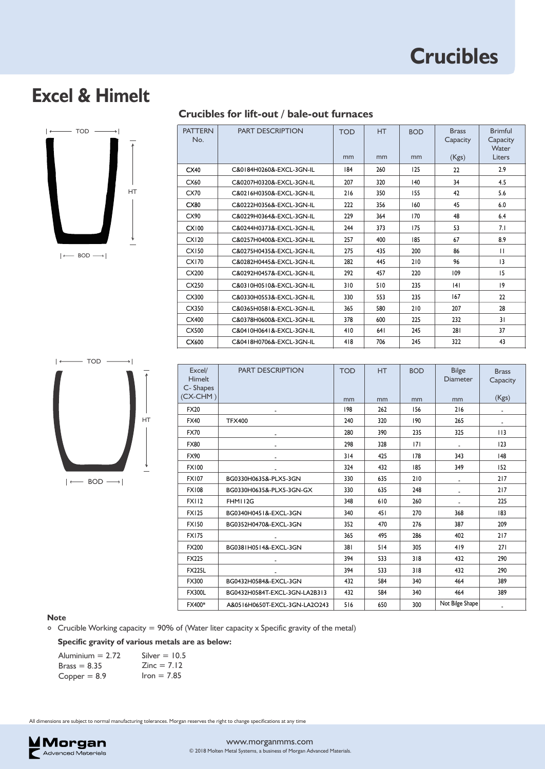### **Excel & Himelt**



#### **Crucibles for lift-out / bale-out furnaces**

| <b>PATTERN</b><br>No. | <b>PART DESCRIPTION</b>  | <b>TOD</b> | HT   | <b>BOD</b> | <b>Brass</b><br>Capacity | <b>Brimful</b><br>Capacity<br>Water |
|-----------------------|--------------------------|------------|------|------------|--------------------------|-------------------------------------|
|                       |                          | mm         | mm   | mm         | (Kgs)                    | Liters                              |
| CX40                  | C&0184H0260&-EXCL-3GN-IL | 184        | 260  | 125        | 22                       | 2.9                                 |
| CX60                  | C&0207H0320&-EXCL-3GN-IL | 207        | 320  | 140        | 34                       | 4.5                                 |
| CX70                  | C&0216H0350&-EXCL-3GN-IL | 216        | 350  | 155        | 42                       | 5.6                                 |
| CX80                  | C&0222H0356&-EXCL-3GN-IL | 222        | 356  | 160        | 45                       | 6.0                                 |
| CX90                  | C&0229H0364&-EXCL-3GN-IL | 229        | 364  | 170        | 48                       | 6.4                                 |
| CX100                 | C&0244H0373&-EXCL-3GN-IL | 244        | 373  | 175        | 53                       | 7.1                                 |
| CX120                 | C&0257H0400&-EXCL-3GN-IL | 257        | 400  | 185        | 67                       | 8.9                                 |
| <b>CX150</b>          | C&0275H0435&-EXCL-3GN-IL | 275        | 435  | 200        | 86                       | $\mathbf{H}$                        |
| CX170                 | C&0282H0445&-EXCL-3GN-IL | 282        | 445  | 210        | 96                       | 13                                  |
| CX200                 | C&0292H0457&-EXCL-3GN-IL | 292        | 457  | 220        | 109                      | 15                                  |
| CX250                 | C&0310H0510&-EXCL-3GN-IL | 310        | 510  | 235        | 4                        | $ 9\rangle$                         |
| CX300                 | C&0330H0553&-EXCL-3GN-IL | 330        | 553  | 235        | 167                      | 22                                  |
| CX350                 | C&0365H0581&-EXCL-3GN-IL | 365        | 580  | 210        | 207                      | 28                                  |
| CX400                 | C&0378H0600&-EXCL-3GN-IL | 378        | 600  | 225        | 232                      | 31                                  |
| CX500                 | C&0410H0641&-EXCL-3GN-IL | 410        | 64 I | 245        | 281                      | 37                                  |
| CX600                 | C&0418H0706&-EXCL-3GN-IL | 418        | 706  | 245        | 322                      | 43                                  |



| Excel/<br><b>Himelt</b><br>C-Shapes | <b>PART DESCRIPTION</b>       | <b>TOD</b> | <b>HT</b> | <b>BOD</b> | <b>Bilge</b><br><b>Diameter</b> | <b>Brass</b><br>Capacity |
|-------------------------------------|-------------------------------|------------|-----------|------------|---------------------------------|--------------------------|
| $(CX-CHM)$                          |                               | mm         | mm        | mm         | mm                              | (Kgs)                    |
| <b>FX20</b>                         |                               | 198        | 262       | 156        | 216                             |                          |
| <b>FX40</b>                         | <b>TFX400</b>                 | 240        | 320       | 190        | 265                             | $\overline{\phantom{a}}$ |
| <b>FX70</b>                         |                               | 280        | 390       | 235        | 325                             | 113                      |
| <b>FX80</b>                         |                               | 298        | 328       | 7          |                                 | 123                      |
| FX90                                |                               | 314        | 425       | 178        | 343                             | 148                      |
| <b>FX100</b>                        |                               | 324        | 432       | 185        | 349                             | 152                      |
| <b>FX107</b>                        | BG0330H0635&-PLX5-3GN         | 330        | 635       | 210        | $\overline{\phantom{a}}$        | 217                      |
| <b>FX108</b>                        | BG0330H0635&-PLX5-3GN-GX      | 330        | 635       | 248        |                                 | 217                      |
| <b>FX112</b>                        | FHM112G                       | 348        | 610       | 260        |                                 | 225                      |
| <b>FX125</b>                        | BG0340H0451&-EXCL-3GN         | 340        | 451       | 270        | 368                             | 183                      |
| <b>FX150</b>                        | BG0352H0470&-EXCL-3GN         | 352        | 470       | 276        | 387                             | 209                      |
| <b>FX175</b>                        | $\overline{\phantom{a}}$      | 365        | 495       | 286        | 402                             | 217                      |
| FX200                               | BG0381H0514&-EXCL-3GN         | 381        | 514       | 305        | 419                             | 271                      |
| FX225                               |                               | 394        | 533       | 318        | 432                             | 290                      |
| <b>FX225L</b>                       |                               | 394        | 533       | 318        | 432                             | 290                      |
| <b>FX300</b>                        | BG0432H0584&-EXCL-3GN         | 432        | 584       | 340        | 464                             | 389                      |
| <b>FX300L</b>                       | BG0432H0584T-EXCL-3GN-LA2B313 | 432        | 584       | 340        | 464                             | 389                      |
| FX400*                              | A&0516H0650T-EXCL-3GN-LA2O243 | 516        | 650       | 300        | Not Bilge Shape                 |                          |

#### **Note**

Crucible Working capacity = 90% of (Water liter capacity x Specific gravity of the metal) **°**

**Specific gravity of various metals are as below:**

| Aluminium $= 2.72$ | Silver $=$ 10.5      |
|--------------------|----------------------|
| $Brass = 8.35$     | $\text{Zinc} = 7.12$ |
| $Copper = 8.9$     | $lron = 7.85$        |

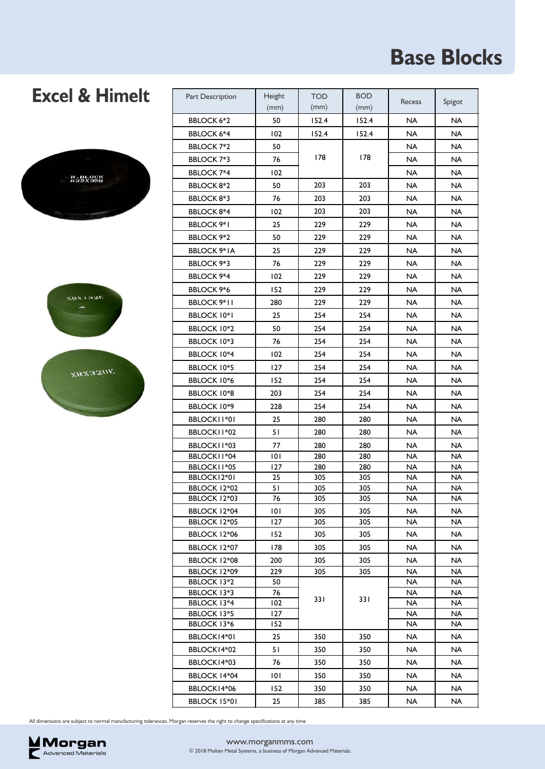# **Base Blocks**

### **Excel & Himelt**





**XRX320E** 

| Part Description                  | Height<br>(mm) | <b>TOD</b><br>(mm) | <b>BOD</b><br>(mm) | <b>Recess</b> | Spigot                 |
|-----------------------------------|----------------|--------------------|--------------------|---------------|------------------------|
| <b>BBLOCK 6*2</b>                 | 50             | 152.4              | 152.4              | <b>NA</b>     | NA                     |
| <b>BBLOCK 6*4</b>                 | 102            | 152.4              | 152.4              | <b>NA</b>     | <b>NA</b>              |
| <b>BBLOCK 7*2</b>                 | 50             |                    |                    | <b>NA</b>     | <b>NA</b>              |
| <b>BBLOCK 7*3</b>                 | 76             | 178                | 178                | <b>NA</b>     | <b>NA</b>              |
| <b>BBLOCK 7*4</b>                 | 102            |                    |                    | <b>NA</b>     | <b>NA</b>              |
| BBLOCK 8*2                        | 50             | 203                | 203                | NA            | <b>NA</b>              |
| <b>BBLOCK 8*3</b>                 | 76             | 203                | 203                | <b>NA</b>     | <b>NA</b>              |
| <b>BBLOCK 8*4</b>                 | 102            | 203                | 203                | NA            | <b>NA</b>              |
| <b>BBLOCK 9*1</b>                 | 25             | 229                | 229                | <b>NA</b>     | <b>NA</b>              |
| BBLOCK 9*2                        | 50             | 229                | 229                | <b>NA</b>     | <b>NA</b>              |
| <b>BBLOCK 9*IA</b>                | 25             | 229                | 229                | <b>NA</b>     | <b>NA</b>              |
| <b>BBLOCK 9*3</b>                 | 76             | 229                | 229                | <b>NA</b>     | <b>NA</b>              |
| <b>BBLOCK 9*4</b>                 | 102            | 229                | 229                | NA.           | NA                     |
| <b>BBLOCK 9*6</b>                 | 152            | 229                | 229                | <b>NA</b>     | <b>NA</b>              |
| <b>BBLOCK 9*11</b>                | 280            | 229                | 229                | <b>NA</b>     | <b>NA</b>              |
| <b>BBLOCK 10*1</b>                | 25             | 254                | 254                | <b>NA</b>     | <b>NA</b>              |
| <b>BBLOCK 10*2</b>                | 50             | 254                | 254                | NA            | <b>NA</b>              |
| <b>BBLOCK 10*3</b>                | 76             | 254                | 254                | <b>NA</b>     | <b>NA</b>              |
| <b>BBLOCK 10*4</b>                | 102            | 254                | 254                | NA            | <b>NA</b>              |
| <b>BBLOCK 10*5</b>                | 127            | 254                | 254                | <b>NA</b>     | <b>NA</b>              |
| <b>BBLOCK 10*6</b>                | 152            | 254                | 254                | <b>NA</b>     | <b>NA</b>              |
| <b>BBLOCK 10*8</b>                | 203            | 254                | 254                | NA            | <b>NA</b>              |
| <b>BBLOCK 10*9</b>                | 228            | 254                | 254                | NA.           | <b>NA</b>              |
| BBLOCKII*01                       | 25             | 280                | 280                | NA            | <b>NA</b>              |
| BBLOCK11*02                       | 51             | 280                | 280                | <b>NA</b>     | <b>NA</b>              |
| BBLOCKII*03                       | 77             | 280                | 280                | <b>NA</b>     | <b>NA</b>              |
| BBLOCK11*04                       | 101            | 280                | 280                | NA            | <b>NA</b>              |
| BBLOCKII*05                       | 127            | 280                | 280                | <b>NA</b>     | <b>NA</b>              |
| BBLOCK12*01                       | 25             | 305                | 305                | <b>NA</b>     | <b>NA</b>              |
| BBLOCK 12*02<br>BBLOCK 12*03      | 51<br>76       | 305<br>305         | 305<br>305         | NA<br>NA      | <b>NA</b><br><b>NA</b> |
| BBLOCK 12*04                      | 101            | 305                | 305                | NA            | <b>NA</b>              |
| BBLOCK 12*05                      | 127            | 305                | 305                | <b>NA</b>     | NA                     |
| BBLOCK 12*06                      | 152            | 305                | 305                | NA            | NA                     |
| BBLOCK 12*07                      | 178            | 305                | 305                | NA            | <b>NA</b>              |
| BBLOCK 12*08                      | 200            | 305                | 305                | <b>NA</b>     | <b>NA</b>              |
| BBLOCK 12*09                      | 229            | 305                | 305                | NA            | <b>NA</b>              |
| <b>BBLOCK 13*2</b>                | 50             |                    |                    | <b>NA</b>     | <b>NA</b>              |
| BBLOCK 13*3                       | 76             | 331                | 331                | NA            | <b>NA</b>              |
| <b>BBLOCK 13*4</b><br>BBLOCK 13*5 | 102<br>127     |                    |                    | NA<br>NA      | NA<br>NA               |
| BBLOCK 13*6                       | 152            |                    |                    | <b>NA</b>     | <b>NA</b>              |
| BBLOCK14*01                       | 25             | 350                | 350                | NA            | <b>NA</b>              |
| BBLOCK14*02                       | 51             | 350                | 350                | NA            | NA                     |
| BBLOCK14*03                       | 76             | 350                | 350                | <b>NA</b>     | <b>NA</b>              |
| BBLOCK 14*04                      | 101            | 350                | 350                | NA            | <b>NA</b>              |
| BBLOCK14*06                       | 152            | 350                | 350                | NA            | <b>NA</b>              |
| BBLOCK 15*01                      | 25             | 385                | 385                | <b>NA</b>     | <b>NA</b>              |
|                                   |                |                    |                    |               |                        |

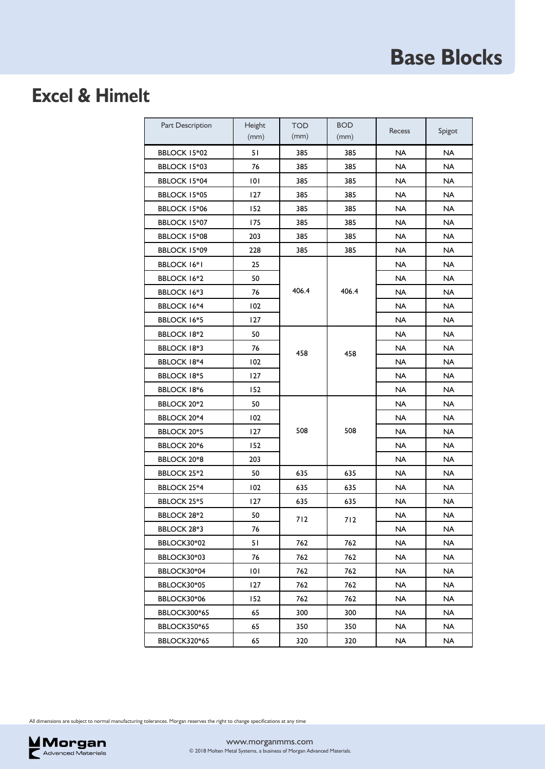# **Base Blocks**

### **Excel & Himelt**

| Part Description    | Height<br>(mm) | <b>TOD</b><br>(mm) | <b>BOD</b><br>(mm) | <b>Recess</b> | Spigot    |
|---------------------|----------------|--------------------|--------------------|---------------|-----------|
| <b>BBLOCK 15*02</b> | 51             | 385                | 385                | <b>NA</b>     | <b>NA</b> |
| BBLOCK 15*03        | 76             | 385                | 385                | NA            | NA        |
| <b>BBLOCK 15*04</b> | 101            | 385                | 385                | <b>NA</b>     | <b>NA</b> |
| BBLOCK 15*05        | 127            | 385                | 385                | NA            | NA        |
| BBLOCK 15*06        | 152            | 385                | 385                | NA.           | <b>NA</b> |
| BBLOCK 15*07        | 175            | 385                | 385                | NA            | <b>NA</b> |
| BBLOCK 15*08        | 203            | 385                | 385                | NA            | <b>NA</b> |
| BBLOCK 15*09        | 228            | 385                | 385                | <b>NA</b>     | <b>NA</b> |
| <b>BBLOCK 16*1</b>  | 25             |                    |                    | <b>NA</b>     | <b>NA</b> |
| <b>BBLOCK 16*2</b>  | 50             |                    |                    | NA            | NA        |
| <b>BBLOCK 16*3</b>  | 76             | 406.4              | 406.4              | NA            | NA        |
| <b>BBLOCK 16*4</b>  | 102            |                    |                    | NA            | NA.       |
| <b>BBLOCK 16*5</b>  | 127            |                    |                    | NA            | NA        |
| <b>BBLOCK 18*2</b>  | 50             |                    |                    | NA            | NA        |
| <b>BBLOCK 18*3</b>  | 76             | 458                | 458                | NA            | NA        |
| <b>BBLOCK 18*4</b>  | 102            |                    |                    | NA            | NA        |
| <b>BBLOCK 18*5</b>  | 127            |                    |                    | NA            | <b>NA</b> |
| <b>BBLOCK 18*6</b>  | 152            |                    |                    | NA            | <b>NA</b> |
| <b>BBLOCK 20*2</b>  | 50             |                    |                    | NA            | <b>NA</b> |
| <b>BBLOCK 20*4</b>  | 102            |                    |                    | NA            | <b>NA</b> |
| BBLOCK 20*5         | 127            | 508                | 508                | <b>NA</b>     | <b>NA</b> |
| BBLOCK 20*6         | 152            |                    |                    | <b>NA</b>     | <b>NA</b> |
| <b>BBLOCK 20*8</b>  | 203            |                    |                    | <b>NA</b>     | <b>NA</b> |
| <b>BBLOCK 25*2</b>  | 50             | 635                | 635                | NA            | NA        |
| BBLOCK 25*4         | 102            | 635                | 635                | NA            | <b>NA</b> |
| <b>BBLOCK 25*5</b>  | 127            | 635                | 635                | NA            | NA        |
| <b>BBLOCK 28*2</b>  | 50             | 712                | 712                | NA            | <b>NA</b> |
| BBLOCK 28*3         | 76             |                    |                    | <b>NA</b>     | <b>NA</b> |
| BBLOCK30*02         | 51             | 762                | 762                | <b>NA</b>     | <b>NA</b> |
| BBLOCK30*03         | 76             | 762                | 762                | NA            | NA        |
| BBLOCK30*04         | 101            | 762                | 762                | <b>NA</b>     | <b>NA</b> |
| BBLOCK30*05         | 127            | 762                | 762                | <b>NA</b>     | <b>NA</b> |
| BBLOCK30*06         | 152            | 762                | 762                | <b>NA</b>     | <b>NA</b> |
| <b>BBLOCK300*65</b> | 65             | 300                | 300                | <b>NA</b>     | <b>NA</b> |
| <b>BBLOCK350*65</b> | 65             | 350                | 350                | <b>NA</b>     | NA        |
| <b>BBLOCK320*65</b> | 65             | 320                | 320                | <b>NA</b>     | <b>NA</b> |

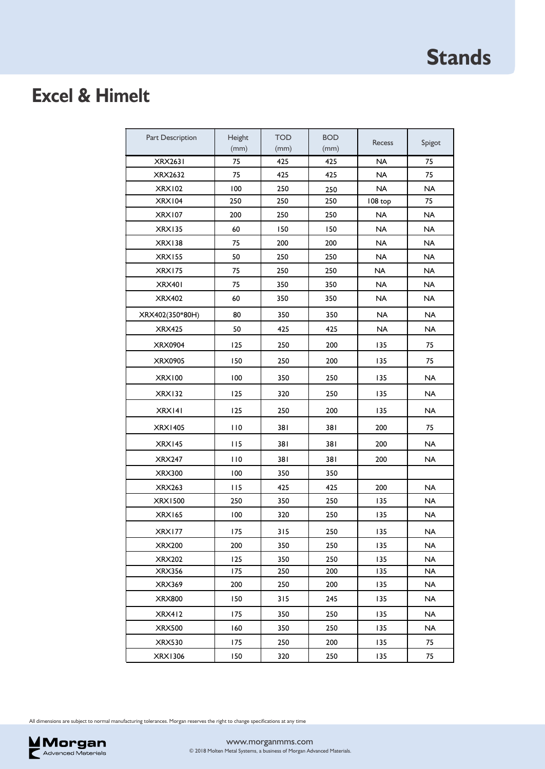# **Excel & Himelt**

| Part Description | Height<br>(mm) | <b>TOD</b><br>(mm) | <b>BOD</b><br>(mm) | Recess    | Spigot    |
|------------------|----------------|--------------------|--------------------|-----------|-----------|
| <b>XRX2631</b>   | 75             | 425                | 425                | <b>NA</b> | 75        |
| XRX2632          | 75             | 425                | 425                | <b>NA</b> | 75        |
| <b>XRX102</b>    | 100            | 250                | 250                | <b>NA</b> | <b>NA</b> |
| XRX104           | 250            | 250                | 250                | 108 top   | 75        |
| <b>XRX107</b>    | 200            | 250                | 250                | NA        | <b>NA</b> |
| <b>XRX135</b>    | 60             | 150                | 150                | <b>NA</b> | <b>NA</b> |
| <b>XRX138</b>    | 75             | 200                | 200                | NA        | NA        |
| <b>XRX155</b>    | 50             | 250                | 250                | <b>NA</b> | <b>NA</b> |
| <b>XRX175</b>    | 75             | 250                | 250                | NA        | NA        |
| XRX401           | 75             | 350                | 350                | <b>NA</b> | <b>NA</b> |
| <b>XRX402</b>    | 60             | 350                | 350                | <b>NA</b> | <b>NA</b> |
| XRX402(350*80H)  | 80             | 350                | 350                | NA        | <b>NA</b> |
| <b>XRX425</b>    | 50             | 425                | 425                | <b>NA</b> | <b>NA</b> |
| <b>XRX0904</b>   | 125            | 250                | 200                | 135       | 75        |
| <b>XRX0905</b>   | 150            | 250                | 200                | 135       | 75        |
| <b>XRX100</b>    | 100            | 350                | 250                | 135       | <b>NA</b> |
| <b>XRX132</b>    | 125            | 320                | 250                | 135       | <b>NA</b> |
| XRX141           | 125            | 250                | 200                | 135       | <b>NA</b> |
| <b>XRX1405</b>   | 110            | 381                | 381                | 200       | 75        |
| XRX145           | 115            | 381                | 381                | 200       | <b>NA</b> |
| <b>XRX247</b>    | 110            | 381                | 381                | 200       | <b>NA</b> |
| <b>XRX300</b>    | 100            | 350                | 350                |           |           |
| <b>XRX263</b>    | 115            | 425                | 425                | 200       | <b>NA</b> |
| <b>XRX1500</b>   | 250            | 350                | 250                | 135       | <b>NA</b> |
| <b>XRX165</b>    | 100            | 320                | 250                | 135       | <b>NA</b> |
| <b>XRX177</b>    | 175            | 315                | 250                | 135       | <b>NA</b> |
| <b>XRX200</b>    | 200            | 350                | 250                | 135       | <b>NA</b> |
| <b>XRX202</b>    | 125            | 350                | 250                | 135       | <b>NA</b> |
| XRX356           | 175            | 250                | 200                | 135       | <b>NA</b> |
| <b>XRX369</b>    | 200            | 250                | 200                | 135       | <b>NA</b> |
| <b>XRX800</b>    | 150            | 315                | 245                | 135       | NA        |
| <b>XRX412</b>    | 175            | 350                | 250                | 135       | <b>NA</b> |
| <b>XRX500</b>    | 160            | 350                | 250                | 135       | <b>NA</b> |
| <b>XRX530</b>    | 175            | 250                | 200                | 135       | 75        |
| <b>XRX1306</b>   | 150            | 320                | 250                | 135       | 75        |